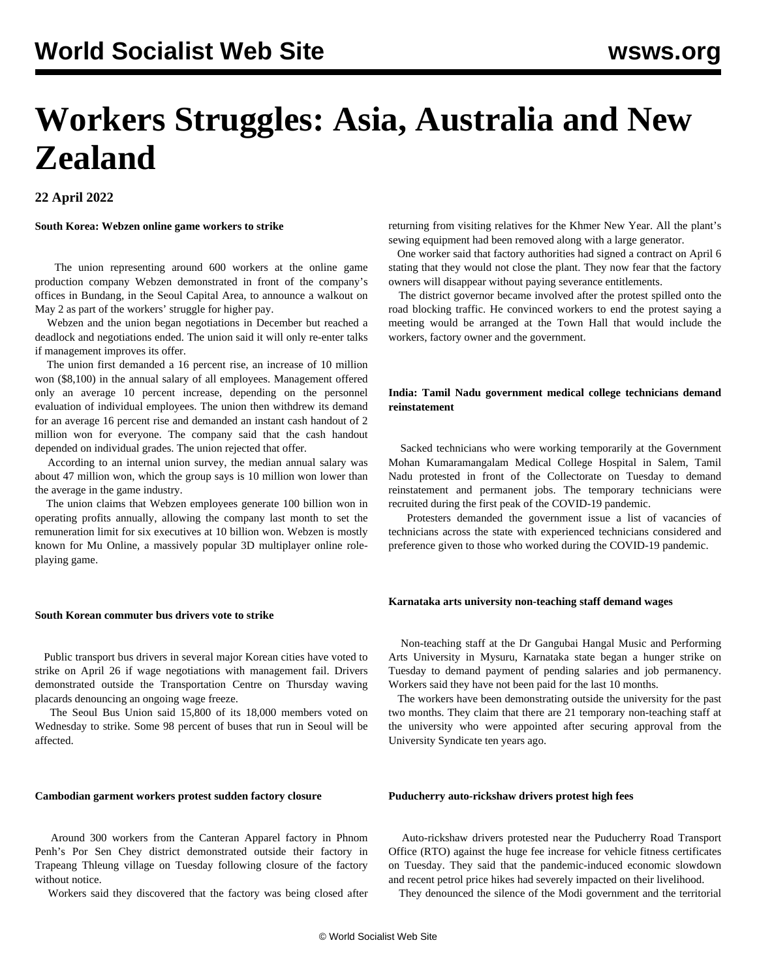# **Workers Struggles: Asia, Australia and New Zealand**

# **22 April 2022**

**South Korea: Webzen online game workers to strike**

 The union representing around 600 workers at the online game production company Webzen demonstrated in front of the company's offices in Bundang, in the Seoul Capital Area, to announce a walkout on May 2 as part of the workers' struggle for higher pay.

 Webzen and the union began negotiations in December but reached a deadlock and negotiations ended. The union said it will only re-enter talks if management improves its offer.

 The union first demanded a 16 percent rise, an increase of 10 million won (\$8,100) in the annual salary of all employees. Management offered only an average 10 percent increase, depending on the personnel evaluation of individual employees. The union then withdrew its demand for an average 16 percent rise and demanded an instant cash handout of 2 million won for everyone. The company said that the cash handout depended on individual grades. The union rejected that offer.

 According to an internal union survey, the median annual salary was about 47 million won, which the group says is 10 million won lower than the average in the game industry.

 The union claims that Webzen employees generate 100 billion won in operating profits annually, allowing the company last month to set the remuneration limit for six executives at 10 billion won. Webzen is mostly known for Mu Online, a massively popular 3D multiplayer online roleplaying game.

#### **South Korean commuter bus drivers vote to strike**

 Public transport bus drivers in several major Korean cities have voted to strike on April 26 if wage negotiations with management fail. Drivers demonstrated outside the Transportation Centre on Thursday waving placards denouncing an ongoing wage freeze.

 The Seoul Bus Union said 15,800 of its 18,000 members voted on Wednesday to strike. Some 98 percent of buses that run in Seoul will be affected.

#### **Cambodian garment workers protest sudden factory closure**

 Around 300 workers from the Canteran Apparel factory in Phnom Penh's Por Sen Chey district demonstrated outside their factory in Trapeang Thleung village on Tuesday following closure of the factory without notice.

Workers said they discovered that the factory was being closed after

returning from visiting relatives for the Khmer New Year. All the plant's sewing equipment had been removed along with a large generator.

 One worker said that factory authorities had signed a contract on April 6 stating that they would not close the plant. They now fear that the factory owners will disappear without paying severance entitlements.

 The district governor became involved after the protest spilled onto the road blocking traffic. He convinced workers to end the protest saying a meeting would be arranged at the Town Hall that would include the workers, factory owner and the government.

# **India: Tamil Nadu government medical college technicians demand reinstatement**

 Sacked technicians who were working temporarily at the Government Mohan Kumaramangalam Medical College Hospital in Salem, Tamil Nadu protested in front of the Collectorate on Tuesday to demand reinstatement and permanent jobs. The temporary technicians were recruited during the first peak of the COVID-19 pandemic.

 Protesters demanded the government issue a list of vacancies of technicians across the state with experienced technicians considered and preference given to those who worked during the COVID-19 pandemic.

#### **Karnataka arts university non-teaching staff demand wages**

 Non-teaching staff at the Dr Gangubai Hangal Music and Performing Arts University in Mysuru, Karnataka state began a hunger strike on Tuesday to demand payment of pending salaries and job permanency. Workers said they have not been paid for the last 10 months.

 The workers have been demonstrating outside the university for the past two months. They claim that there are 21 temporary non-teaching staff at the university who were appointed after securing approval from the University Syndicate ten years ago.

#### **Puducherry auto-rickshaw drivers protest high fees**

 Auto-rickshaw drivers protested near the Puducherry Road Transport Office (RTO) against the huge fee increase for vehicle fitness certificates on Tuesday. They said that the pandemic-induced economic slowdown and recent petrol price hikes had severely impacted on their livelihood.

They denounced the silence of the Modi government and the territorial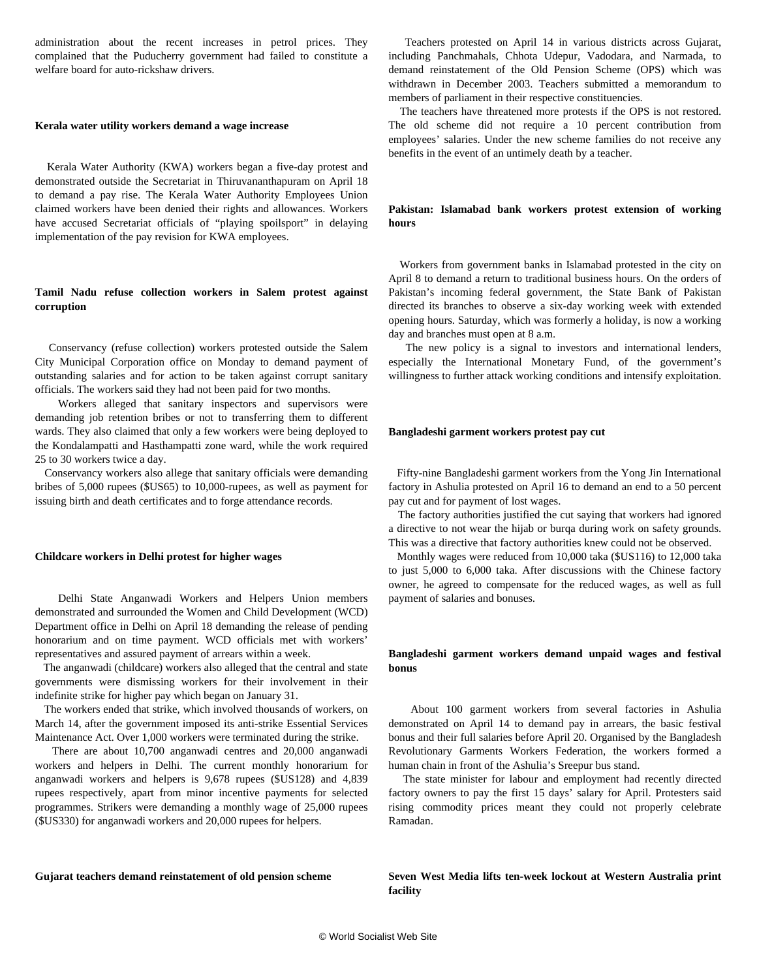administration about the recent increases in petrol prices. They complained that the Puducherry government had failed to constitute a welfare board for auto-rickshaw drivers.

#### **Kerala water utility workers demand a wage increase**

 Kerala Water Authority (KWA) workers began a five-day protest and demonstrated outside the Secretariat in Thiruvananthapuram on April 18 to demand a pay rise. The Kerala Water Authority Employees Union claimed workers have been denied their rights and allowances. Workers have accused Secretariat officials of "playing spoilsport" in delaying implementation of the pay revision for KWA employees.

# **Tamil Nadu refuse collection workers in Salem protest against corruption**

 Conservancy (refuse collection) workers protested outside the Salem City Municipal Corporation office on Monday to demand payment of outstanding salaries and for action to be taken against corrupt sanitary officials. The workers said they had not been paid for two months.

 Workers alleged that sanitary inspectors and supervisors were demanding job retention bribes or not to transferring them to different wards. They also claimed that only a few workers were being deployed to the Kondalampatti and Hasthampatti zone ward, while the work required 25 to 30 workers twice a day.

 Conservancy workers also allege that sanitary officials were demanding bribes of 5,000 rupees (\$US65) to 10,000-rupees, as well as payment for issuing birth and death certificates and to forge attendance records.

#### **Childcare workers in Delhi protest for higher wages**

 Delhi State Anganwadi Workers and Helpers Union members demonstrated and surrounded the Women and Child Development (WCD) Department office in Delhi on April 18 demanding the release of pending honorarium and on time payment. WCD officials met with workers' representatives and assured payment of arrears within a week.

 The anganwadi (childcare) workers also alleged that the central and state governments were dismissing workers for their involvement in their indefinite strike for higher pay which began on January 31.

 The workers ended that strike, which involved thousands of workers, on March 14, after the government imposed its anti-strike Essential Services Maintenance Act. Over 1,000 workers were terminated during the strike.

 There are about 10,700 anganwadi centres and 20,000 anganwadi workers and helpers in Delhi. The current monthly honorarium for anganwadi workers and helpers is 9,678 rupees (\$US128) and 4,839 rupees respectively, apart from minor incentive payments for selected programmes. Strikers were demanding a monthly wage of 25,000 rupees (\$US330) for anganwadi workers and 20,000 rupees for helpers.

 Teachers protested on April 14 in various districts across Gujarat, including Panchmahals, Chhota Udepur, Vadodara, and Narmada, to demand reinstatement of the Old Pension Scheme (OPS) which was withdrawn in December 2003. Teachers submitted a memorandum to members of parliament in their respective constituencies.

 The teachers have threatened more protests if the OPS is not restored. The old scheme did not require a 10 percent contribution from employees' salaries. Under the new scheme families do not receive any benefits in the event of an untimely death by a teacher.

# **Pakistan: Islamabad bank workers protest extension of working hours**

 Workers from government banks in Islamabad protested in the city on April 8 to demand a return to traditional business hours. On the orders of Pakistan's incoming federal government, the State Bank of Pakistan directed its branches to observe a six-day working week with extended opening hours. Saturday, which was formerly a holiday, is now a working day and branches must open at 8 a.m.

 The new policy is a signal to investors and international lenders, especially the International Monetary Fund, of the government's willingness to further attack working conditions and intensify exploitation.

#### **Bangladeshi garment workers protest pay cut**

 Fifty-nine Bangladeshi garment workers from the Yong Jin International factory in Ashulia protested on April 16 to demand an end to a 50 percent pay cut and for payment of lost wages.

 The factory authorities justified the cut saying that workers had ignored a directive to not wear the hijab or burqa during work on safety grounds. This was a directive that factory authorities knew could not be observed.

 Monthly wages were reduced from 10,000 taka (\$US116) to 12,000 taka to just 5,000 to 6,000 taka. After discussions with the Chinese factory owner, he agreed to compensate for the reduced wages, as well as full payment of salaries and bonuses.

## **Bangladeshi garment workers demand unpaid wages and festival bonus**

 About 100 garment workers from several factories in Ashulia demonstrated on April 14 to demand pay in arrears, the basic festival bonus and their full salaries before April 20. Organised by the Bangladesh Revolutionary Garments Workers Federation, the workers formed a human chain in front of the Ashulia's Sreepur bus stand.

 The state minister for labour and employment had recently directed factory owners to pay the first 15 days' salary for April. Protesters said rising commodity prices meant they could not properly celebrate Ramadan.

#### **Gujarat teachers demand reinstatement of old pension scheme**

**Seven West Media lifts ten-week lockout at Western Australia print facility**